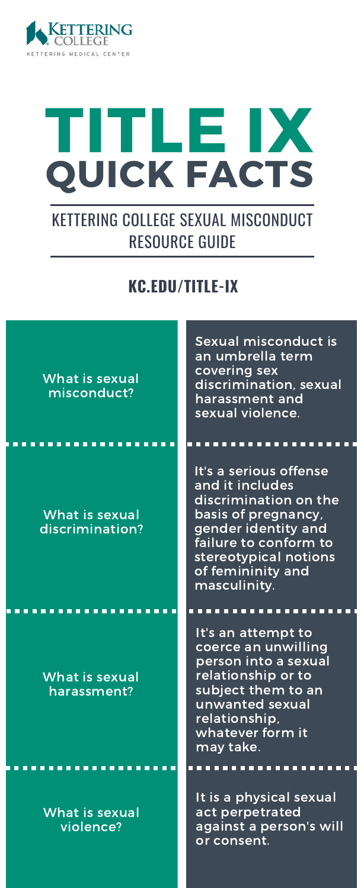

# TITLE IX QUICK FACTS

## KETTERING COLLEGE SEXUAL MISCONDUCT RESOURCE GUIDE

### **KC.EDU/TITLE-IX**

| What is sexual<br>misconduct?      | Sexual misconduct is<br>an umbrella term<br>covering sex<br>discrimination, sexual<br>harassment and<br>sexual violence.                                                                                |
|------------------------------------|---------------------------------------------------------------------------------------------------------------------------------------------------------------------------------------------------------|
|                                    |                                                                                                                                                                                                         |
| What is sexual<br>discrimination?  | It's a serious offense<br>and it includes<br>discrimination on the<br>basis of pregnancy,<br>gender identity and<br>failure to conform to<br>stereotypical notions<br>of femininity and<br>masculinity. |
|                                    | It's an attempt to                                                                                                                                                                                      |
| What is sexual<br>harassment?      | coerce an unwilling<br>person into a sexual<br>relationship or to<br>subject them to an<br>unwanted sexual<br>relationship,<br>whatever form it<br>may take.                                            |
|                                    |                                                                                                                                                                                                         |
| <b>What is sexual</b><br>violence? | It is a physical sexual<br>act perpetrated<br>against a person's will<br>or consent.                                                                                                                    |